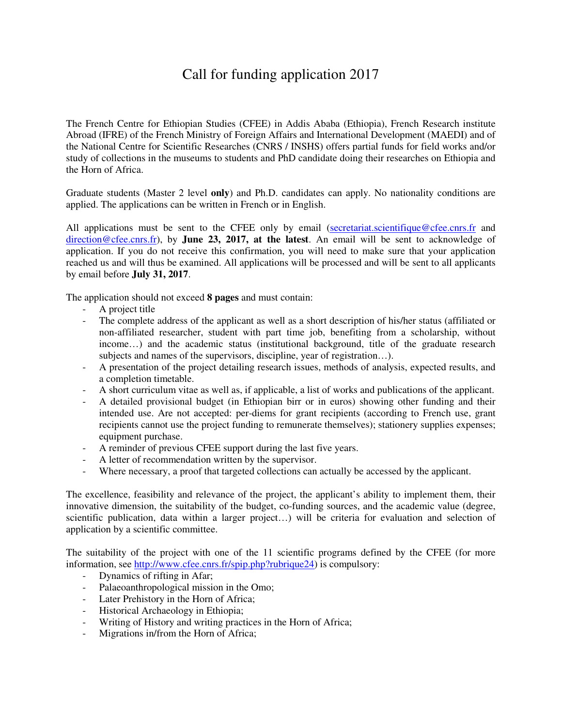## Call for funding application 2017

The French Centre for Ethiopian Studies (CFEE) in Addis Ababa (Ethiopia), French Research institute Abroad (IFRE) of the French Ministry of Foreign Affairs and International Development (MAEDI) and of the National Centre for Scientific Researches (CNRS / INSHS) offers partial funds for field works and/or study of collections in the museums to students and PhD candidate doing their researches on Ethiopia and the Horn of Africa.

Graduate students (Master 2 level **only**) and Ph.D. candidates can apply. No nationality conditions are applied. The applications can be written in French or in English.

All applications must be sent to the CFEE only by email (secretariat.scientifique@cfee.cnrs.fr and direction@cfee.cnrs.fr), by **June 23, 2017, at the latest**. An email will be sent to acknowledge of application. If you do not receive this confirmation, you will need to make sure that your application reached us and will thus be examined. All applications will be processed and will be sent to all applicants by email before **July 31, 2017**.

The application should not exceed **8 pages** and must contain:

- A project title
- The complete address of the applicant as well as a short description of his/her status (affiliated or non-affiliated researcher, student with part time job, benefiting from a scholarship, without income…) and the academic status (institutional background, title of the graduate research subjects and names of the supervisors, discipline, year of registration…).
- A presentation of the project detailing research issues, methods of analysis, expected results, and a completion timetable.
- A short curriculum vitae as well as, if applicable, a list of works and publications of the applicant.
- A detailed provisional budget (in Ethiopian birr or in euros) showing other funding and their intended use. Are not accepted: per-diems for grant recipients (according to French use, grant recipients cannot use the project funding to remunerate themselves); stationery supplies expenses; equipment purchase.
- A reminder of previous CFEE support during the last five years.
- A letter of recommendation written by the supervisor.
- Where necessary, a proof that targeted collections can actually be accessed by the applicant.

The excellence, feasibility and relevance of the project, the applicant's ability to implement them, their innovative dimension, the suitability of the budget, co-funding sources, and the academic value (degree, scientific publication, data within a larger project…) will be criteria for evaluation and selection of application by a scientific committee.

The suitability of the project with one of the 11 scientific programs defined by the CFEE (for more information, see http://www.cfee.cnrs.fr/spip.php?rubrique24) is compulsory:

- Dynamics of rifting in Afar;
- Palaeoanthropological mission in the Omo;
- Later Prehistory in the Horn of Africa;
- Historical Archaeology in Ethiopia;
- Writing of History and writing practices in the Horn of Africa;
- Migrations in/from the Horn of Africa;